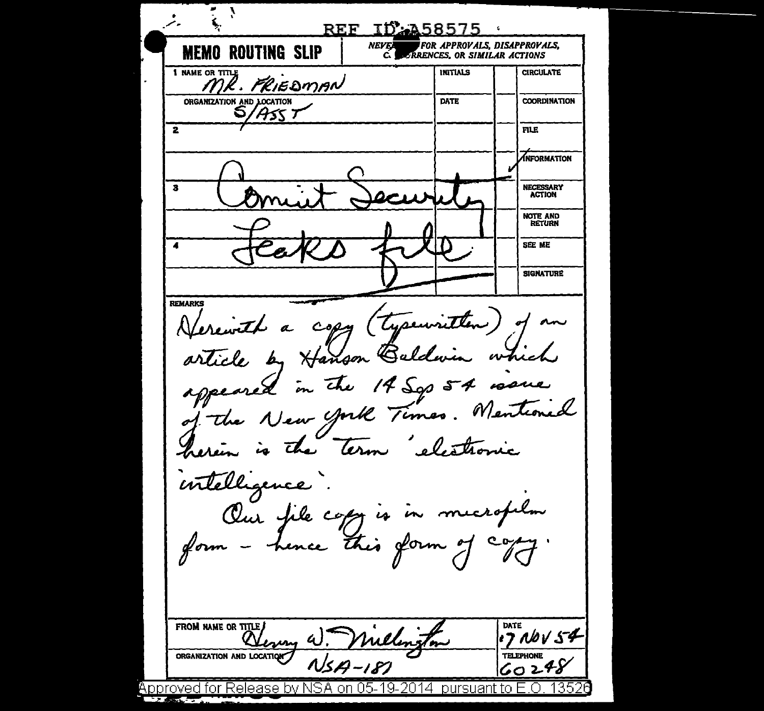بز REF ID: 458575 **NEVEL** FOR APPROVALS. DISAPPROVALS. **MEMO ROUTING SLIP** *URRENCES, OR SIMILAR ACTIONS* 1 NAME OR TITLE **INITIALS CIRCULATE** MR. PRIEDMAN ORGANIZATION AND LOCATION DATE **COORDINATION** ASS T  $\overline{\mathbf{2}}$ FILE. INFORMATION  $\overline{\mathbf{z}}$ NECESSARY **ACTION** NOTE AND **RETURN** SEE ME **SIGNATURE REMARKS** a copy (typewritten) of erewith article by Hanson Waldm which appeared in 14 Sgs 54 roue che Mentioned of the New York Times. term the herein is intelligence. Our file copy is this form of form hence Flo FROM NAME OR TITLE DATE  $1706054$ W. Millen 1m ORGANIZATION AND LOCATION **TELEPHONE**  $NSA - 187$  $60248$ Approved for Release by NSA on 05-19-2014 bursuant to E.O. 1352  $2.50 - 1.5$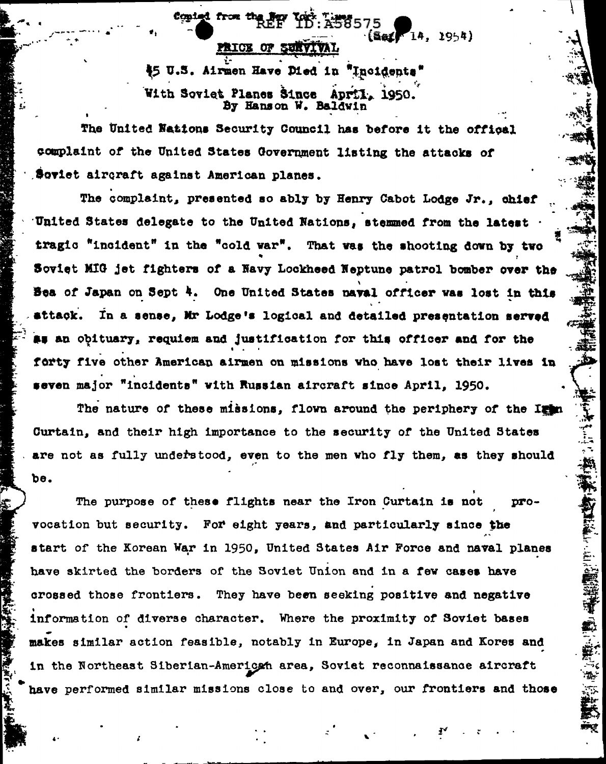$[5.4]$   $[14]$ PRICE OF SURVIVAL \$5 U.S. Airmen Have Died in "Incidents" With Soviet Planes Since April, 1950. By Hanson W. Baldwin

copied from the few Yest T158575

The United Nations Security Council has before it the offical complaint of the United States Government listing the attacks of Soviet aircraft against American planes.

The complaint, presented so ably by Henry Cabot Lodge Jr., chief United States delegate to the United Nations, stemmed from the latest tragic "incident" in the "cold war". That was the shooting down by two Soviet MIG jet fighters of a Navy Lockheed Neptune patrol bomber over the Bea of Japan on Sept 4. One United States naval officer was lost in this attack. In a sense, Mr Lodge's logical and detailed presentation served as an obituary, requiem and justification for this officer and for the forty five other American airmen on missions who have lost their lives in seven major "incidents" with Russian aircraft since April, 1950.

The nature of these missions, flown around the periphery of the Itin Curtain, and their high importance to the security of the United States are not as fully understood, even to the men who fly them, as they should be.

The purpose of these flights near the Iron Curtain is not provocation but security. For eight years, and particularly since the start of the Korean War in 1950, United States Air Force and naval planes have skirted the borders of the Soviet Union and in a few cases have crossed those frontiers. They have been seeking positive and negative information of diverse character. Where the proximity of Soviet bases makes similar action feasible, notably in Europe, in Japan and Kores and in the Northeast Siberian-American area, Soviet reconnaissance aircraft have performed similar missions close to and over, our frontiers and those

1954)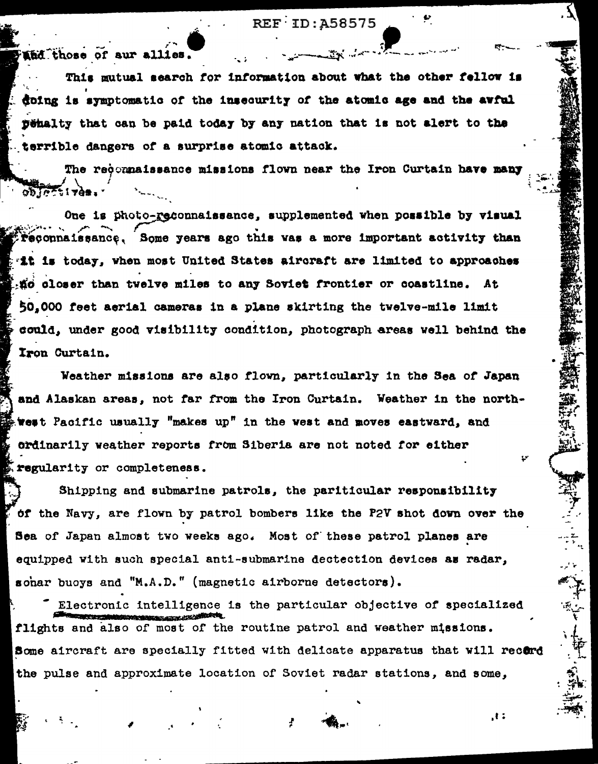**REF ID: A58575** 

 $\mathbb{Z}$  ,  $\mathbb{Z}$  ,  $\mathbb{Z}$  ,  $\mathbb{Z}$ 

and those of sur allies.

This mutual search for information about what the other fellow is doing is symptomatic of the insecurity of the atomic age and the avful penalty that can be paid today by any nation that is not alert to the terrible dangers of a surprise atomic attack.

The recommaissance missions flown near the Iron Curtain have many

One is photo-reconnaissance, supplemented when possible by visual Peconnaissance, Some years ago this was a more important activity than th is today, when most United States aircraft are limited to approaches tio closer than twelve miles to any Soviet frontier or coastline. At 50,000 feet aerial cameras in a plane skirting the twelve-mile limit could, under good visibility condition, photograph areas well behind the Iron Curtain.

Weather missions are also flown, particularly in the Sea of Japan and Alaskan areas, not far from the Iron Curtain. Weather in the northwest Pacific usually "makes up" in the west and moves eastward, and ordinarily weather reports from Siberia are not noted for either regularity or completeness.

Shipping and submarine patrols, the pariticular responsibility of the Navy, are flown by patrol bombers like the P2V shot down over the Sea of Japan almost two weeks ago. Most of these patrol planes are equipped with such special anti-submarine dectection devices as radar, sohar buoys and "M.A.D." (magnetic airborne detectors).

Electronic intelligence is the particular objective of specialized flights and also of most of the routine patrol and weather missions. Some aircraft are specially fitted with delicate apparatus that will record the pulse and approximate location of Soviet radar stations, and some.

 $, I:$